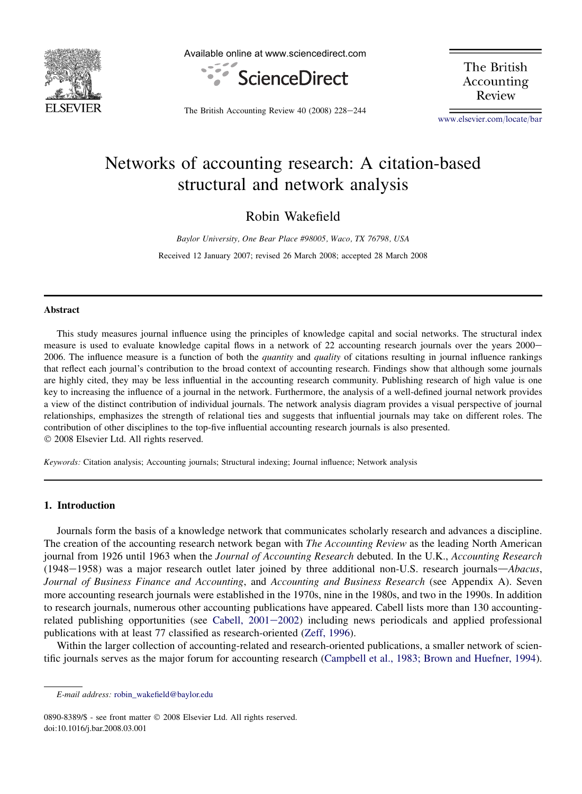

Available online at www.sciencedirect.com



The British Accounting Review

The British Accounting Review  $40$  (2008) 228-244

[www.elsevier.com/locate/bar](http://www.elsevier.com/locate/bar)

## Networks of accounting research: A citation-based structural and network analysis

Robin Wakefield

Baylor University, One Bear Place #98005, Waco, TX 76798, USA

Received 12 January 2007; revised 26 March 2008; accepted 28 March 2008

## Abstract

This study measures journal influence using the principles of knowledge capital and social networks. The structural index measure is used to evaluate knowledge capital flows in a network of 22 accounting research journals over the years  $2000-$ 2006. The influence measure is a function of both the *quantity* and *quality* of citations resulting in journal influence rankings that reflect each journal's contribution to the broad context of accounting research. Findings show that although some journals are highly cited, they may be less influential in the accounting research community. Publishing research of high value is one key to increasing the influence of a journal in the network. Furthermore, the analysis of a well-defined journal network provides a view of the distinct contribution of individual journals. The network analysis diagram provides a visual perspective of journal relationships, emphasizes the strength of relational ties and suggests that influential journals may take on different roles. The contribution of other disciplines to the top-five influential accounting research journals is also presented. © 2008 Elsevier Ltd. All rights reserved.

Keywords: Citation analysis; Accounting journals; Structural indexing; Journal influence; Network analysis

## 1. Introduction

Journals form the basis of a knowledge network that communicates scholarly research and advances a discipline. The creation of the accounting research network began with *The Accounting Review* as the leading North American journal from 1926 until 1963 when the Journal of Accounting Research debuted. In the U.K., Accounting Research  $(1948-1958)$  was a major research outlet later joined by three additional non-U.S. research journals— $Abacus$ , Journal of Business Finance and Accounting, and Accounting and Business Research (see Appendix A). Seven more accounting research journals were established in the 1970s, nine in the 1980s, and two in the 1990s. In addition to research journals, numerous other accounting publications have appeared. Cabell lists more than 130 accountingrelated publishing opportunities (see Cabell,  $2001-2002$  $2001-2002$ ) including news periodicals and applied professional publications with at least 77 classified as research-oriented [\(Zeff, 1996\)](#page--1-0).

Within the larger collection of accounting-related and research-oriented publications, a smaller network of scientific journals serves as the major forum for accounting research ([Campbell et al., 1983; Brown and Huefner, 1994\)](#page--1-0).

E-mail address: [robin\\_wakefield@baylor.edu](mailto:robin_wakefield@baylor.edu)

<sup>0890-8389/\$ -</sup> see front matter © 2008 Elsevier Ltd. All rights reserved. doi:10.1016/j.bar.2008.03.001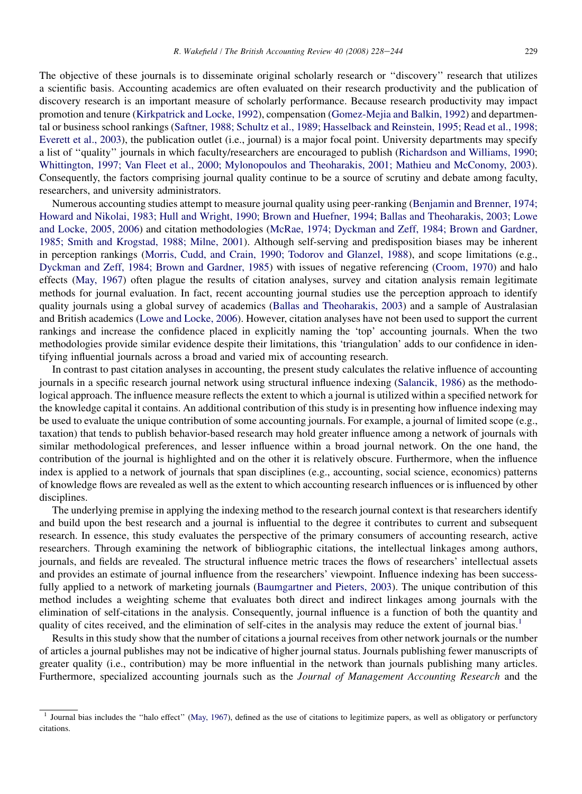The objective of these journals is to disseminate original scholarly research or ''discovery'' research that utilizes a scientific basis. Accounting academics are often evaluated on their research productivity and the publication of discovery research is an important measure of scholarly performance. Because research productivity may impact promotion and tenure [\(Kirkpatrick and Locke, 1992\)](#page--1-0), compensation [\(Gomez-Mejia and Balkin, 1992\)](#page--1-0) and departmental or business school rankings [\(Saftner, 1988; Schultz et al., 1989; Hasselback and Reinstein, 1995; Read et al., 1998;](#page--1-0) [Everett et al., 2003\)](#page--1-0), the publication outlet (i.e., journal) is a major focal point. University departments may specify a list of ''quality'' journals in which faculty/researchers are encouraged to publish [\(Richardson and Williams, 1990](#page--1-0); [Whittington, 1997; Van Fleet et al., 2000; Mylonopoulos and Theoharakis, 2001; Mathieu and McConomy, 2003](#page--1-0)). Consequently, the factors comprising journal quality continue to be a source of scrutiny and debate among faculty, researchers, and university administrators.

Numerous accounting studies attempt to measure journal quality using peer-ranking [\(Benjamin and Brenner, 1974;](#page--1-0) [Howard and Nikolai, 1983; Hull and Wright, 1990; Brown and Huefner, 1994; Ballas and Theoharakis, 2003; Lowe](#page--1-0) [and Locke, 2005, 2006](#page--1-0)) and citation methodologies ([McRae, 1974; Dyckman and Zeff, 1984; Brown and Gardner,](#page--1-0) [1985; Smith and Krogstad, 1988; Milne, 2001](#page--1-0)). Although self-serving and predisposition biases may be inherent in perception rankings ([Morris, Cudd, and Crain, 1990; Todorov and Glanzel, 1988](#page--1-0)), and scope limitations (e.g., [Dyckman and Zeff, 1984; Brown and Gardner, 1985](#page--1-0)) with issues of negative referencing ([Croom, 1970](#page--1-0)) and halo effects ([May, 1967\)](#page--1-0) often plague the results of citation analyses, survey and citation analysis remain legitimate methods for journal evaluation. In fact, recent accounting journal studies use the perception approach to identify quality journals using a global survey of academics [\(Ballas and Theoharakis, 2003](#page--1-0)) and a sample of Australasian and British academics ([Lowe and Locke, 2006](#page--1-0)). However, citation analyses have not been used to support the current rankings and increase the confidence placed in explicitly naming the 'top' accounting journals. When the two methodologies provide similar evidence despite their limitations, this 'triangulation' adds to our confidence in identifying influential journals across a broad and varied mix of accounting research.

In contrast to past citation analyses in accounting, the present study calculates the relative influence of accounting journals in a specific research journal network using structural influence indexing [\(Salancik, 1986](#page--1-0)) as the methodological approach. The influence measure reflects the extent to which a journal is utilized within a specified network for the knowledge capital it contains. An additional contribution of this study is in presenting how influence indexing may be used to evaluate the unique contribution of some accounting journals. For example, a journal of limited scope (e.g., taxation) that tends to publish behavior-based research may hold greater influence among a network of journals with similar methodological preferences, and lesser influence within a broad journal network. On the one hand, the contribution of the journal is highlighted and on the other it is relatively obscure. Furthermore, when the influence index is applied to a network of journals that span disciplines (e.g., accounting, social science, economics) patterns of knowledge flows are revealed as well as the extent to which accounting research influences or is influenced by other disciplines.

The underlying premise in applying the indexing method to the research journal context is that researchers identify and build upon the best research and a journal is influential to the degree it contributes to current and subsequent research. In essence, this study evaluates the perspective of the primary consumers of accounting research, active researchers. Through examining the network of bibliographic citations, the intellectual linkages among authors, journals, and fields are revealed. The structural influence metric traces the flows of researchers' intellectual assets and provides an estimate of journal influence from the researchers' viewpoint. Influence indexing has been successfully applied to a network of marketing journals ([Baumgartner and Pieters, 2003\)](#page--1-0). The unique contribution of this method includes a weighting scheme that evaluates both direct and indirect linkages among journals with the elimination of self-citations in the analysis. Consequently, journal influence is a function of both the quantity and quality of cites received, and the elimination of self-cites in the analysis may reduce the extent of journal bias.<sup>1</sup>

Results in this study show that the number of citations a journal receives from other network journals or the number of articles a journal publishes may not be indicative of higher journal status. Journals publishing fewer manuscripts of greater quality (i.e., contribution) may be more influential in the network than journals publishing many articles. Furthermore, specialized accounting journals such as the Journal of Management Accounting Research and the

<sup>&</sup>lt;sup>1</sup> Journal bias includes the "halo effect" ([May, 1967\)](#page--1-0), defined as the use of citations to legitimize papers, as well as obligatory or perfunctory citations.